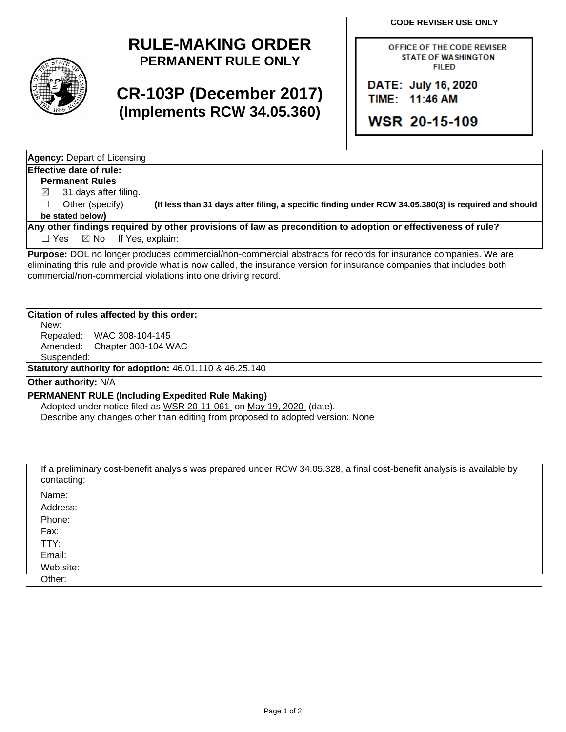**CODE REVISER USE ONLY**



## **RULE-MAKING ORDER PERMANENT RULE ONLY**

# **CR-103P (December 2017) (Implements RCW 34.05.360)**

OFFICE OF THE CODE REVISER **STATE OF WASHINGTON FILED** 

DATE: July 16, 2020 TIME: 11:46 AM

**WSR 20-15-109** 

**Agency:** Depart of Licensing

#### **Effective date of rule:**

**Permanent Rules**

 $\boxtimes$  31 days after filing.

☐ Other (specify) **(If less than 31 days after filing, a specific finding under RCW 34.05.380(3) is required and should be stated below)**

**Any other findings required by other provisions of law as precondition to adoption or effectiveness of rule?** □ Yes ⊠ No If Yes, explain:

**Purpose:** DOL no longer produces commercial/non-commercial abstracts for records for insurance companies. We are eliminating this rule and provide what is now called, the insurance version for insurance companies that includes both commercial/non-commercial violations into one driving record.

#### **Citation of rules affected by this order:**

New:

Repealed: WAC 308-104-145<br>Amended: Chapter 308-104 V Chapter 308-104 WAC

Suspended:

**Statutory authority for adoption:** 46.01.110 & 46.25.140

**Other authority:** N/A

### **PERMANENT RULE (Including Expedited Rule Making)**

Adopted under notice filed as WSR 20-11-061 on May 19, 2020 (date). Describe any changes other than editing from proposed to adopted version: None

If a preliminary cost-benefit analysis was prepared under RCW 34.05.328, a final cost-benefit analysis is available by contacting:

Name:

Address:

Phone:

Fax:

TTY: Email:

Web site:

Other: